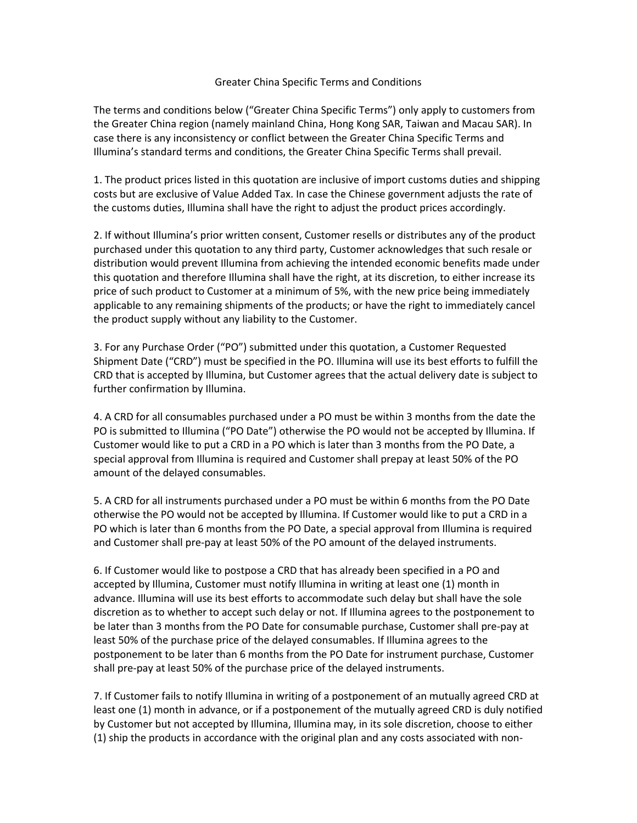## Greater China Specific Terms and Conditions

The terms and conditions below ("Greater China Specific Terms") only apply to customers from the Greater China region (namely mainland China, Hong Kong SAR, Taiwan and Macau SAR). In case there is any inconsistency or conflict between the Greater China Specific Terms and Illumina's standard terms and conditions, the Greater China Specific Terms shall prevail.

1. The product prices listed in this quotation are inclusive of import customs duties and shipping costs but are exclusive of Value Added Tax. In case the Chinese government adjusts the rate of the customs duties, Illumina shall have the right to adjust the product prices accordingly.

2. If without Illumina's prior written consent, Customer resells or distributes any of the product purchased under this quotation to any third party, Customer acknowledges that such resale or distribution would prevent Illumina from achieving the intended economic benefits made under this quotation and therefore Illumina shall have the right, at its discretion, to either increase its price of such product to Customer at a minimum of 5%, with the new price being immediately applicable to any remaining shipments of the products; or have the right to immediately cancel the product supply without any liability to the Customer.

3. For any Purchase Order ("PO") submitted under this quotation, a Customer Requested Shipment Date ("CRD") must be specified in the PO. Illumina will use its best efforts to fulfill the CRD that is accepted by Illumina, but Customer agrees that the actual delivery date is subject to further confirmation by Illumina.

4. A CRD for all consumables purchased under a PO must be within 3 months from the date the PO is submitted to Illumina ("PO Date") otherwise the PO would not be accepted by Illumina. If Customer would like to put a CRD in a PO which is later than 3 months from the PO Date, a special approval from Illumina is required and Customer shall prepay at least 50% of the PO amount of the delayed consumables.

5. A CRD for all instruments purchased under a PO must be within 6 months from the PO Date otherwise the PO would not be accepted by Illumina. If Customer would like to put a CRD in a PO which is later than 6 months from the PO Date, a special approval from Illumina is required and Customer shall pre-pay at least 50% of the PO amount of the delayed instruments.

6. If Customer would like to postpose a CRD that has already been specified in a PO and accepted by Illumina, Customer must notify Illumina in writing at least one (1) month in advance. Illumina will use its best efforts to accommodate such delay but shall have the sole discretion as to whether to accept such delay or not. If Illumina agrees to the postponement to be later than 3 months from the PO Date for consumable purchase, Customer shall pre-pay at least 50% of the purchase price of the delayed consumables. If Illumina agrees to the postponement to be later than 6 months from the PO Date for instrument purchase, Customer shall pre-pay at least 50% of the purchase price of the delayed instruments.

7. If Customer fails to notify Illumina in writing of a postponement of an mutually agreed CRD at least one (1) month in advance, or if a postponement of the mutually agreed CRD is duly notified by Customer but not accepted by Illumina, Illumina may, in its sole discretion, choose to either (1) ship the products in accordance with the original plan and any costs associated with non-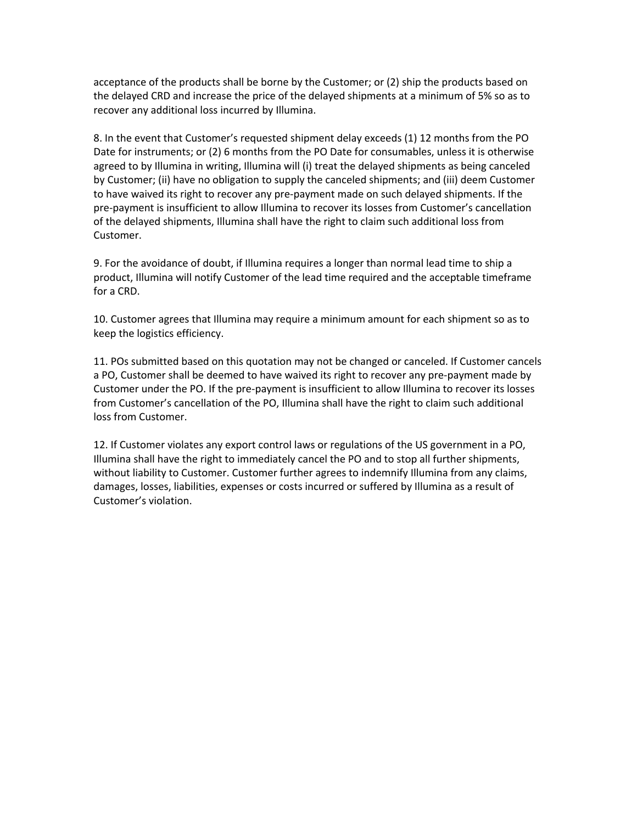acceptance of the products shall be borne by the Customer; or (2) ship the products based on the delayed CRD and increase the price of the delayed shipments at a minimum of 5% so as to recover any additional loss incurred by Illumina.

8. In the event that Customer's requested shipment delay exceeds (1) 12 months from the PO Date for instruments; or (2) 6 months from the PO Date for consumables, unless it is otherwise agreed to by Illumina in writing, Illumina will (i) treat the delayed shipments as being canceled by Customer; (ii) have no obligation to supply the canceled shipments; and (iii) deem Customer to have waived its right to recover any pre-payment made on such delayed shipments. If the pre-payment is insufficient to allow Illumina to recover its losses from Customer's cancellation of the delayed shipments, Illumina shall have the right to claim such additional loss from Customer.

9. For the avoidance of doubt, if Illumina requires a longer than normal lead time to ship a product, Illumina will notify Customer of the lead time required and the acceptable timeframe for a CRD.

10. Customer agrees that Illumina may require a minimum amount for each shipment so as to keep the logistics efficiency.

11. POs submitted based on this quotation may not be changed or canceled. If Customer cancels a PO, Customer shall be deemed to have waived its right to recover any pre-payment made by Customer under the PO. If the pre-payment is insufficient to allow Illumina to recover its losses from Customer's cancellation of the PO, Illumina shall have the right to claim such additional loss from Customer.

12. If Customer violates any export control laws or regulations of the US government in a PO, Illumina shall have the right to immediately cancel the PO and to stop all further shipments, without liability to Customer. Customer further agrees to indemnify Illumina from any claims, damages, losses, liabilities, expenses or costs incurred or suffered by Illumina as a result of Customer's violation.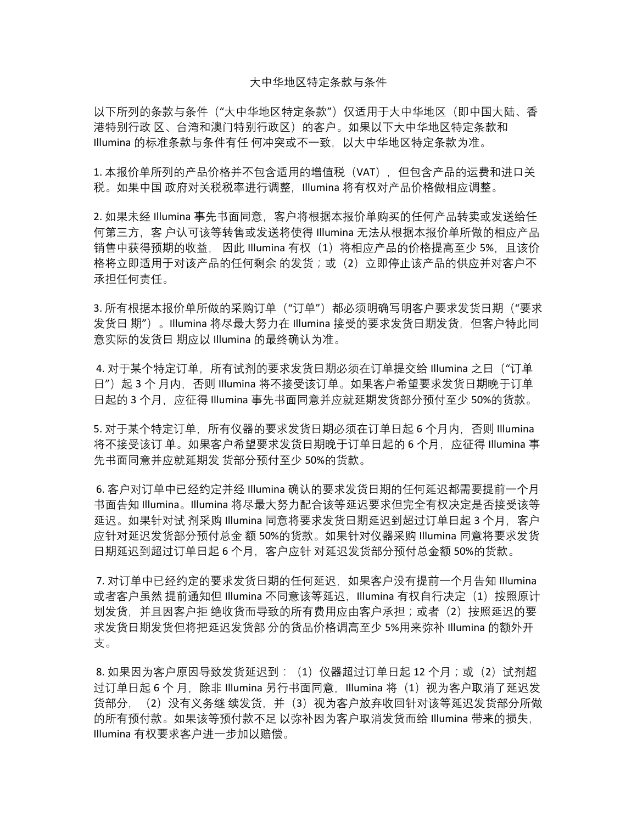## 大中华地区特定条款与条件

以下所列的条款与条件("大中华地区特定条款")仅适用于大中华地区(即中国大陆、香 港特别行政 区、台湾和澳门特别行政区)的客户。如果以下大中华地区特定条款和 Illumina 的标准条款与条件有任 何冲突或不一致,以大中华地区特定条款为准。

1. 本报价单所列的产品价格并不包含适用的增值税 (VAT), 但包含产品的运费和进口关 税。如果中国 政府对关税税率进行调整,Illumina 将有权对产品价格做相应调整。

2. 如果未经 Illumina 事先书面同意,客户将根据本报价单购买的任何产品转卖或发送给任 何第三方,客 户认可该等转售或发送将使得 Illumina 无法从根据本报价单所做的相应产品 销售中获得预期的收益,因此 Illumina 有权(1)将相应产品的价格提高至少 5%,且该价 格将立即适用于对该产品的任何剩余 的发货;或(2)立即停止该产品的供应并对客户不 承担任何责任。

3. 所有根据本报价单所做的采购订单("订单")都必须明确写明客户要求发货日期("要求 发货日 期")。Illumina 将尽最大努力在 Illumina 接受的要求发货日期发货,但客户特此同 意实际的发货日 期应以 Illumina 的最终确认为准。

4. 对于某个特定订单, 所有试剂的要求发货日期必须在订单提交给 Illumina 之日("订单 日")起 3 个 月内, 否则 Illumina 将不接受该订单。如果客户希望要求发货日期晚于订单 日起的 3 个月, 应征得 Illumina 事先书面同意并应就延期发货部分预付至少 50%的货款。

5. 对于某个特定订单, 所有仪器的要求发货日期必须在订单日起 6 个月内, 否则 Illumina 将不接受该订单。如果客户希望要求发货日期晚于订单日起的 6 个月,应征得 Illumina 事 先书面同意并应就延期发 货部分预付至少 50%的货款。

6. 客户对订单中已经约定并经 Illumina 确认的要求发货日期的任何延迟都需要提前一个月 书面告知 Illumina。Illumina 将尽最大努力配合该等延迟要求但完全有权决定是否接受该等 延迟。如果针对试剂采购 Illumina 同意将要求发货日期延迟到超过订单日起 3 个月, 客户 应针对延迟发货部分预付总金 额 50%的货款。如果针对仪器采购 Illumina 同意将要求发货 日期延迟到超过订单日起 6 个月, 客户应针 对延迟发货部分预付总金额 50%的货款。

7. 对订单中已经约定的要求发货日期的任何延迟, 如果客户没有提前一个月告知 Illumina 或者客户虽然 提前通知但 Illumina 不同意该等延迟, Illumina 有权自行决定(1)按照原计 划发货,并且因客户拒绝收货而导致的所有费用应由客户承担;或者(2)按照延迟的要 求发货日期发货但将把延迟发货部 分的货品价格调高至少 5%用来弥补 Illumina 的额外开 支。

8. 如果因为客户原因导致发货延迟到: (1) 仪器超过订单日起 12 个月;或(2)试剂超 过订单日起 6 个 月,除非 Illumina 另行书面同意,Illumina 将(1)视为客户取消了延迟发 货部分, (2) 没有义务继 续发货, 并 (3) 视为客户放弃收回针对该等延迟发货部分所做 的所有预付款。如果该等预付款不足 以弥补因为客户取消发货而给 Illumina 带来的损失, Illumina 有权要求客户进一步加以赔偿。